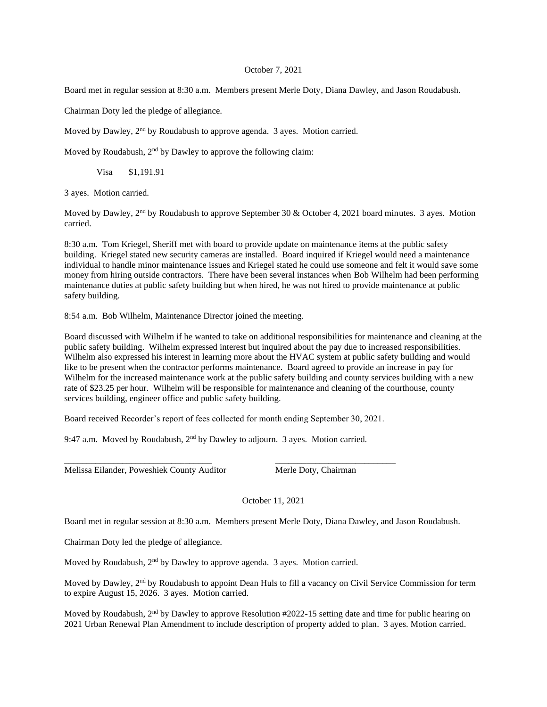## October 7, 2021

Board met in regular session at 8:30 a.m. Members present Merle Doty, Diana Dawley, and Jason Roudabush.

Chairman Doty led the pledge of allegiance.

Moved by Dawley, 2<sup>nd</sup> by Roudabush to approve agenda. 3 ayes. Motion carried.

Moved by Roudabush, 2nd by Dawley to approve the following claim:

Visa \$1,191.91

3 ayes. Motion carried.

Moved by Dawley, 2<sup>nd</sup> by Roudabush to approve September 30 & October 4, 2021 board minutes. 3 ayes. Motion carried.

8:30 a.m. Tom Kriegel, Sheriff met with board to provide update on maintenance items at the public safety building. Kriegel stated new security cameras are installed. Board inquired if Kriegel would need a maintenance individual to handle minor maintenance issues and Kriegel stated he could use someone and felt it would save some money from hiring outside contractors. There have been several instances when Bob Wilhelm had been performing maintenance duties at public safety building but when hired, he was not hired to provide maintenance at public safety building.

8:54 a.m. Bob Wilhelm, Maintenance Director joined the meeting.

Board discussed with Wilhelm if he wanted to take on additional responsibilities for maintenance and cleaning at the public safety building. Wilhelm expressed interest but inquired about the pay due to increased responsibilities. Wilhelm also expressed his interest in learning more about the HVAC system at public safety building and would like to be present when the contractor performs maintenance. Board agreed to provide an increase in pay for Wilhelm for the increased maintenance work at the public safety building and county services building with a new rate of \$23.25 per hour. Wilhelm will be responsible for maintenance and cleaning of the courthouse, county services building, engineer office and public safety building.

Board received Recorder's report of fees collected for month ending September 30, 2021.

\_\_\_\_\_\_\_\_\_\_\_\_\_\_\_\_\_\_\_\_\_\_\_\_\_\_\_\_\_\_\_\_\_ \_\_\_\_\_\_\_\_\_\_\_\_\_\_\_\_\_\_\_\_\_\_\_\_\_\_\_

9:47 a.m. Moved by Roudabush, 2nd by Dawley to adjourn. 3 ayes. Motion carried.

Melissa Eilander, Poweshiek County Auditor Merle Doty, Chairman

October 11, 2021

Board met in regular session at 8:30 a.m. Members present Merle Doty, Diana Dawley, and Jason Roudabush.

Chairman Doty led the pledge of allegiance.

Moved by Roudabush,  $2<sup>nd</sup>$  by Dawley to approve agenda. 3 ayes. Motion carried.

Moved by Dawley, 2<sup>nd</sup> by Roudabush to appoint Dean Huls to fill a vacancy on Civil Service Commission for term to expire August 15, 2026. 3 ayes. Motion carried.

Moved by Roudabush, 2<sup>nd</sup> by Dawley to approve Resolution #2022-15 setting date and time for public hearing on 2021 Urban Renewal Plan Amendment to include description of property added to plan. 3 ayes. Motion carried.